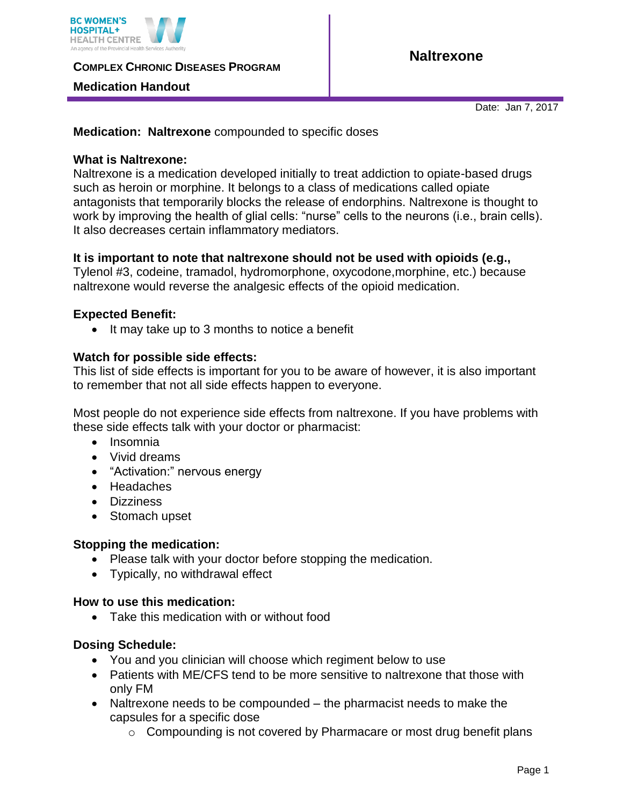

**COMPLEX CHRONIC DISEASES PROGRAM** 

## **Medication Handout**

Date: Jan 7, 2017

## **Medication: Naltrexone** compounded to specific doses

### **What is Naltrexone:**

Naltrexone is a medication developed initially to treat addiction to opiate-based drugs such as heroin or morphine. It belongs to a class of medications called opiate antagonists that temporarily blocks the release of endorphins. Naltrexone is thought to work by improving the health of glial cells: "nurse" cells to the neurons (i.e., brain cells). It also decreases certain inflammatory mediators.

## **It is important to note that naltrexone should not be used with opioids (e.g.,**

Tylenol #3, codeine, tramadol, hydromorphone, oxycodone,morphine, etc.) because naltrexone would reverse the analgesic effects of the opioid medication.

## **Expected Benefit:**

• It may take up to 3 months to notice a benefit

## **Watch for possible side effects:**

This list of side effects is important for you to be aware of however, it is also important to remember that not all side effects happen to everyone.

Most people do not experience side effects from naltrexone. If you have problems with these side effects talk with your doctor or pharmacist:

- $\bullet$  Insomnia
- Vivid dreams
- "Activation:" nervous energy
- Headaches
- Dizziness
- Stomach upset

### **Stopping the medication:**

- Please talk with your doctor before stopping the medication.
- Typically, no withdrawal effect

### **How to use this medication:**

Take this medication with or without food

### **Dosing Schedule:**

- You and you clinician will choose which regiment below to use
- Patients with ME/CFS tend to be more sensitive to naltrexone that those with only FM
- Naltrexone needs to be compounded the pharmacist needs to make the capsules for a specific dose
	- o Compounding is not covered by Pharmacare or most drug benefit plans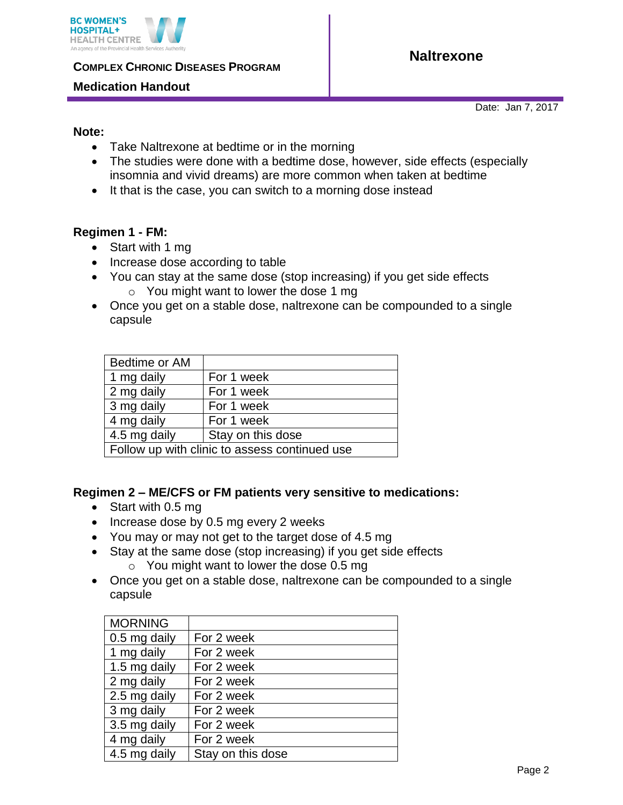

**COMPLEX CHRONIC DISEASES PROGRAM** 

### **Medication Handout**

**Naltrexone** 

Date: Jan 7, 2017

#### **Note:**

- Take Naltrexone at bedtime or in the morning
- The studies were done with a bedtime dose, however, side effects (especially insomnia and vivid dreams) are more common when taken at bedtime
- It that is the case, you can switch to a morning dose instead

## **Regimen 1 - FM:**

- Start with 1 mg
- Increase dose according to table
- You can stay at the same dose (stop increasing) if you get side effects o You might want to lower the dose 1 mg
- Once you get on a stable dose, naltrexone can be compounded to a single capsule

| Bedtime or AM                                 |                   |
|-----------------------------------------------|-------------------|
| 1 mg daily                                    | For 1 week        |
| $\vert$ 2 mg daily                            | For 1 week        |
| 3 mg daily                                    | For 1 week        |
| 4 mg daily                                    | For 1 week        |
| 4.5 mg daily                                  | Stay on this dose |
| Follow up with clinic to assess continued use |                   |

# **Regimen 2 – ME/CFS or FM patients very sensitive to medications:**

- Start with 0.5 mg
- $\bullet$  Increase dose by 0.5 mg every 2 weeks
- You may or may not get to the target dose of 4.5 mg
- Stay at the same dose (stop increasing) if you get side effects o You might want to lower the dose 0.5 mg
- Once you get on a stable dose, naltrexone can be compounded to a single capsule

| <b>MORNING</b> |                   |
|----------------|-------------------|
| 0.5 mg daily   | For 2 week        |
| 1 mg daily     | For 2 week        |
| 1.5 mg daily   | For 2 week        |
| 2 mg daily     | For 2 week        |
| 2.5 mg daily   | For 2 week        |
| 3 mg daily     | For 2 week        |
| 3.5 mg daily   | For 2 week        |
| 4 mg daily     | For 2 week        |
| 4.5 mg daily   | Stay on this dose |